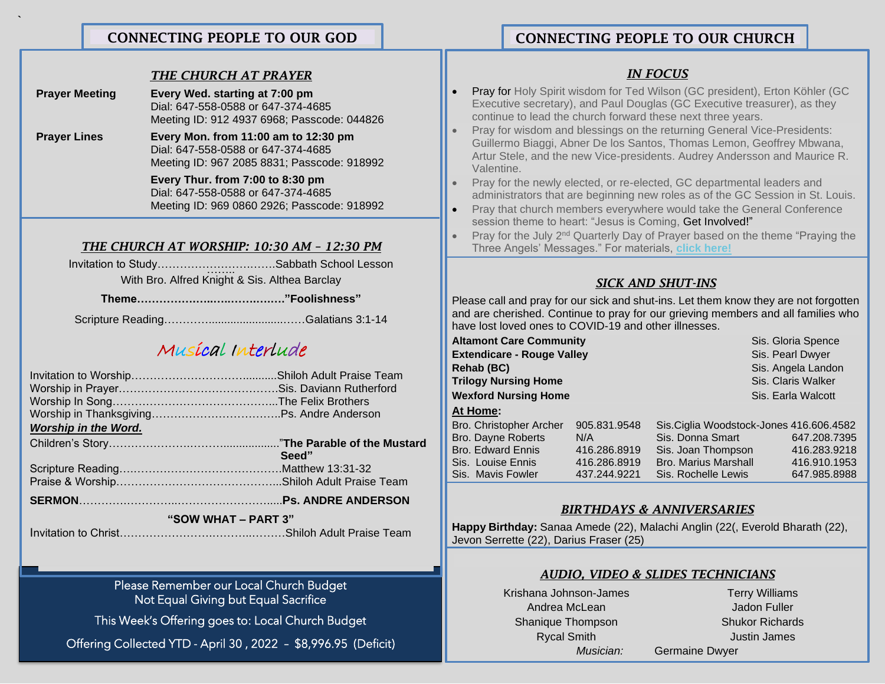## CONNECTING PEOPLE TO OUR CHURCH

#### *THE CHURCH AT PRAYER*

**Prayer Meeting Every Wed. starting at 7:00 pm**  Dial: 647-558-0588 or 647-374-4685 Meeting ID: 912 4937 6968; Passcode: 044826

**`**

֚֚֚֬

**"1QA**

**Prayer Lines Every Mon. from 11:00 am to 12:30 pm** Dial: 647-558-0588 or 647-374-4685 Meeting ID: 967 2085 8831; Passcode: 918992

> **Every Thur. from 7:00 to 8:30 pm** Dial: 647-558-0588 or 647-374-4685 Meeting ID: 969 0860 2926; Passcode: 918992

#### *THE CHURCH AT WORSHIP: 10:30 AM – 12:30 PM*

Invitation to Study…………………….. …….…….Sabbath School Lesson With Bro. Alfred Knight & Sis. Althea Barclay

**Theme…………….…..…..…….….…."Foolishness"**

Scripture Reading…………........................……Galatians 3:1-14

# Musical Interlude

| <b>Worship in the Word.</b> |       |  |
|-----------------------------|-------|--|
|                             |       |  |
|                             | Seed" |  |
|                             |       |  |
|                             |       |  |
|                             |       |  |
| "SOW WHAT - PART 3"         |       |  |

Invitation to Christ…………………….………..………Shiloh Adult Praise Team

Please Remember our Local Church Budget Not Equal Giving but Equal Sacrifice

This Week's Offering goes to: Local Church Budget

Offering Collected YTD - April 30 , 2022 – \$8,996.95 (Deficit)

## *IN FOCUS*

- **Pray for Holy Spirit wisdom for Ted Wilson (GC president), Erton Köhler (GC** Executive secretary), and Paul Douglas (GC Executive treasurer), as they continue to lead the church forward these next three years.
- Pray for wisdom and blessings on the returning General Vice-Presidents: Guillermo Biaggi, Abner De los Santos, Thomas Lemon, Geoffrey Mbwana, Artur Stele, and the new Vice-presidents. Audrey Andersson and Maurice R. Valentine.
- Pray for the newly elected, or re-elected, GC departmental leaders and administrators that are beginning new roles as of the GC Session in St. Louis.
- Pray that church members everywhere would take the General Conference session theme to heart: "Jesus is Coming, Get Involved!"
- Pray for the July 2nd Quarterly Day of Prayer based on the theme "Praying the Three Angels' Messages." For materials, **click [here!](https://revivalandreformation.us2.list-manage.com/track/click?u=a75098063be9af4ae2a053d43&id=d259214d17&e=4ee7708b87)**

### *SICK AND SHUT-INS*

Please call and pray for our sick and shut-ins. Let them know they are not forgotten and are cherished. Continue to pray for our grieving members and all families who have lost loved ones to COVID-19 and other illnesses.

| <b>Altamont Care Community</b>    |              |                                          | Sis. Gloria Spence |
|-----------------------------------|--------------|------------------------------------------|--------------------|
| <b>Extendicare - Rouge Valley</b> |              |                                          | Sis. Pearl Dwyer   |
| <b>Rehab (BC)</b>                 |              |                                          | Sis. Angela Landon |
| <b>Trilogy Nursing Home</b>       |              |                                          | Sis. Claris Walker |
| <b>Wexford Nursing Home</b>       |              |                                          | Sis. Earla Walcott |
| At Home:                          |              |                                          |                    |
| Bro. Christopher Archer           | 905.831.9548 | Sis. Ciglia Woodstock-Jones 416.606.4582 |                    |
| <b>Bro. Dayne Roberts</b>         | N/A          | Sis. Donna Smart                         | 647.208.7395       |
| <b>Bro. Edward Ennis</b>          | 416.286.8919 | Sis. Joan Thompson                       | 416.283.9218       |
| Sis. Louise Ennis                 | 416.286.8919 | <b>Bro. Marius Marshall</b>              | 416.910.1953       |
| Sis. Mavis Fowler                 | 437.244.9221 | Sis. Rochelle Lewis                      | 647.985.8988       |

### *BIRTHDAYS & ANNIVERSARIES*

**Happy Birthday:** Sanaa Amede (22), Malachi Anglin (22(, Everold Bharath (22), Jevon Serrette (22), Darius Fraser (25)

### *AUDIO, VIDEO & SLIDES TECHNICIANS*

Krishana Johnson-James Terry Williams Andrea McLean Jadon Fuller Shanique Thompson Shukor Richards **Rycal Smith Justin James** *Musician:* Germaine Dwyer